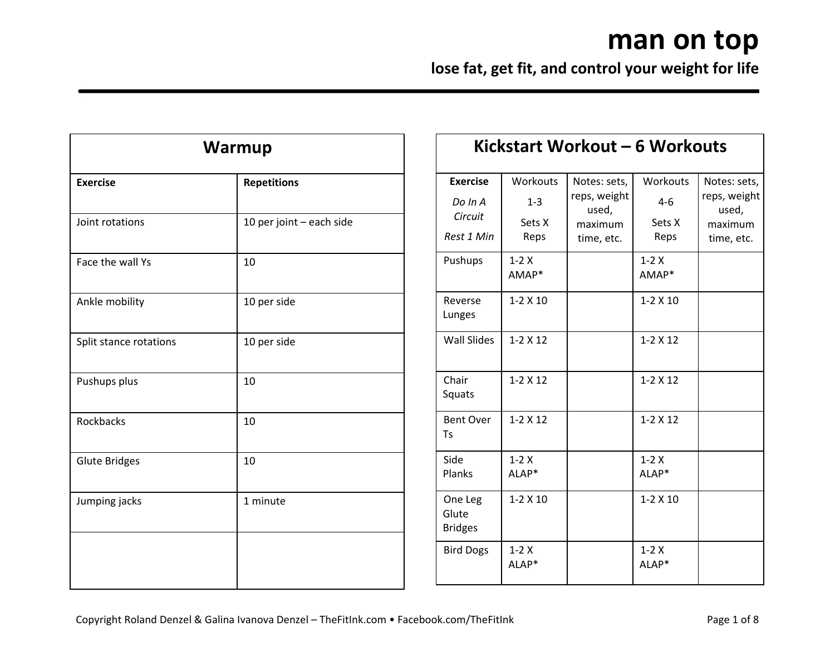| Warmup                 |                          |  |
|------------------------|--------------------------|--|
| <b>Exercise</b>        | <b>Repetitions</b>       |  |
| Joint rotations        | 10 per joint - each side |  |
| Face the wall Ys       | 10                       |  |
| Ankle mobility         | 10 per side              |  |
| Split stance rotations | 10 per side              |  |
| Pushups plus           | 10                       |  |
| Rockbacks              | 10                       |  |
| <b>Glute Bridges</b>   | 10                       |  |
| Jumping jacks          | 1 minute                 |  |
|                        |                          |  |

|                                                     |                                       | Kickstart Workout – 6 Workouts                                 |                                     |                                                                |
|-----------------------------------------------------|---------------------------------------|----------------------------------------------------------------|-------------------------------------|----------------------------------------------------------------|
| <b>Exercise</b><br>Do In A<br>Circuit<br>Rest 1 Min | Workouts<br>$1 - 3$<br>Sets X<br>Reps | Notes: sets,<br>reps, weight<br>used,<br>maximum<br>time, etc. | Workouts<br>$4-6$<br>Sets X<br>Reps | Notes: sets,<br>reps, weight<br>used,<br>maximum<br>time, etc. |
| Pushups                                             | $1-2X$<br>AMAP*                       |                                                                | $1-2X$<br>AMAP*                     |                                                                |
| Reverse<br>Lunges                                   | $1 - 2 \times 10$                     |                                                                | $1 - 2 \times 10$                   |                                                                |
| <b>Wall Slides</b>                                  | $1 - 2 \times 12$                     |                                                                | $1 - 2 \times 12$                   |                                                                |
| Chair<br>Squats                                     | $1 - 2 \times 12$                     |                                                                | $1 - 2 \times 12$                   |                                                                |
| <b>Bent Over</b><br>Ts                              | $1 - 2 \times 12$                     |                                                                | $1 - 2 \times 12$                   |                                                                |
| Side<br>Planks                                      | $1-2X$<br>ALAP*                       |                                                                | $1-2X$<br>ALAP*                     |                                                                |
| One Leg<br>Glute<br><b>Bridges</b>                  | $1 - 2 \times 10$                     |                                                                | $1 - 2 \times 10$                   |                                                                |
| <b>Bird Dogs</b>                                    | $1-2X$<br>ALAP*                       |                                                                | $1-2X$<br>ALAP*                     |                                                                |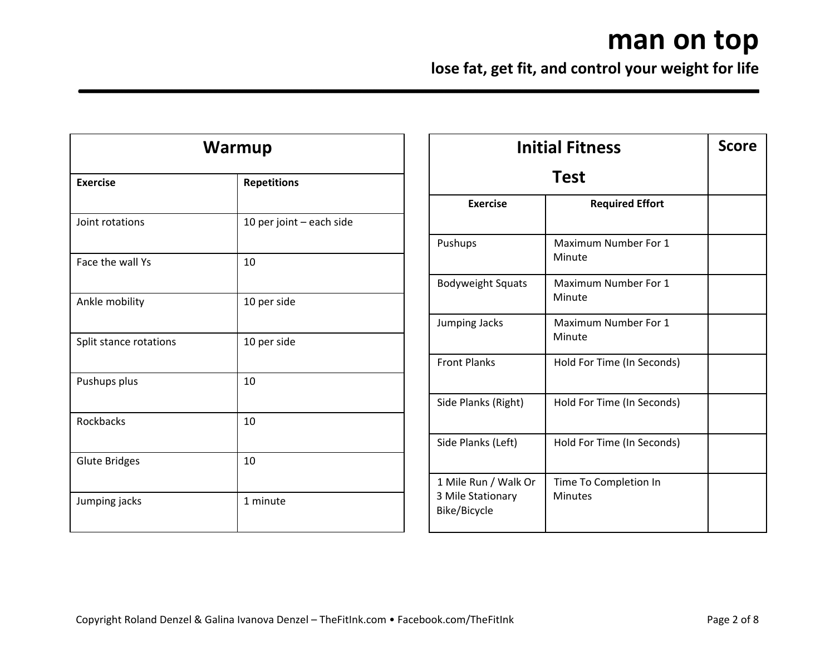| <b>Warmup</b>          |                          |  |
|------------------------|--------------------------|--|
| <b>Exercise</b>        | <b>Repetitions</b>       |  |
| Joint rotations        | 10 per joint - each side |  |
| Face the wall Ys       | 10                       |  |
| Ankle mobility         | 10 per side              |  |
| Split stance rotations | 10 per side              |  |
| Pushups plus           | 10                       |  |
| Rockbacks              | 10                       |  |
| <b>Glute Bridges</b>   | 10                       |  |
| Jumping jacks          | 1 minute                 |  |

| <b>Initial Fitness</b>                                    |                                         | <b>Score</b> |
|-----------------------------------------------------------|-----------------------------------------|--------------|
|                                                           | <b>Test</b>                             |              |
| <b>Exercise</b>                                           | <b>Required Effort</b>                  |              |
| Pushups                                                   | Maximum Number For 1<br>Minute          |              |
| <b>Bodyweight Squats</b>                                  | Maximum Number For 1<br>Minute          |              |
| <b>Jumping Jacks</b>                                      | Maximum Number For 1<br>Minute          |              |
| <b>Front Planks</b>                                       | Hold For Time (In Seconds)              |              |
| Side Planks (Right)                                       | Hold For Time (In Seconds)              |              |
| Side Planks (Left)                                        | Hold For Time (In Seconds)              |              |
| 1 Mile Run / Walk Or<br>3 Mile Stationary<br>Bike/Bicycle | Time To Completion In<br><b>Minutes</b> |              |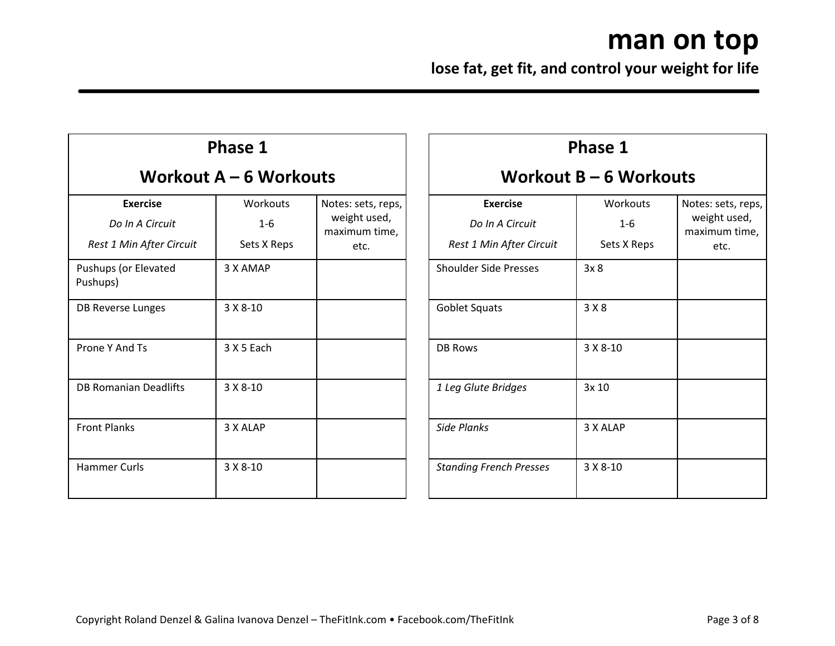| Phase 1                                                        |                                    |                                                             |
|----------------------------------------------------------------|------------------------------------|-------------------------------------------------------------|
| Workout A – 6 Workouts                                         |                                    |                                                             |
| <b>Exercise</b><br>Do In A Circuit<br>Rest 1 Min After Circuit | Workouts<br>$1 - 6$<br>Sets X Reps | Notes: sets, reps,<br>weight used,<br>maximum time,<br>etc. |
| Pushups (or Elevated<br>Pushups)                               | 3 X AMAP                           |                                                             |
| DB Reverse Lunges                                              | $3 X 8 - 10$                       |                                                             |
| Prone Y And Ts                                                 | 3 X 5 Each                         |                                                             |
| DB Romanian Deadlifts                                          | $3 X 8 - 10$                       |                                                             |
| <b>Front Planks</b>                                            | 3 X ALAP                           |                                                             |
| <b>Hammer Curls</b>                                            | $3 X 8 - 10$                       |                                                             |

| Phase 1                                                        |                                    |                                                             |  |
|----------------------------------------------------------------|------------------------------------|-------------------------------------------------------------|--|
| Workout $B - 6$ Workouts                                       |                                    |                                                             |  |
| <b>Exercise</b><br>Do In A Circuit<br>Rest 1 Min After Circuit | Workouts<br>$1 - 6$<br>Sets X Reps | Notes: sets, reps,<br>weight used,<br>maximum time,<br>etc. |  |
| <b>Shoulder Side Presses</b>                                   | 3x8                                |                                                             |  |
| Goblet Squats                                                  | 3 X 8                              |                                                             |  |
| <b>DB Rows</b>                                                 | $3 X 8 - 10$                       |                                                             |  |
| 1 Leg Glute Bridges                                            | 3x 10                              |                                                             |  |
| Side Planks                                                    | 3 X ALAP                           |                                                             |  |
| <b>Standing French Presses</b>                                 | 3 X 8-10                           |                                                             |  |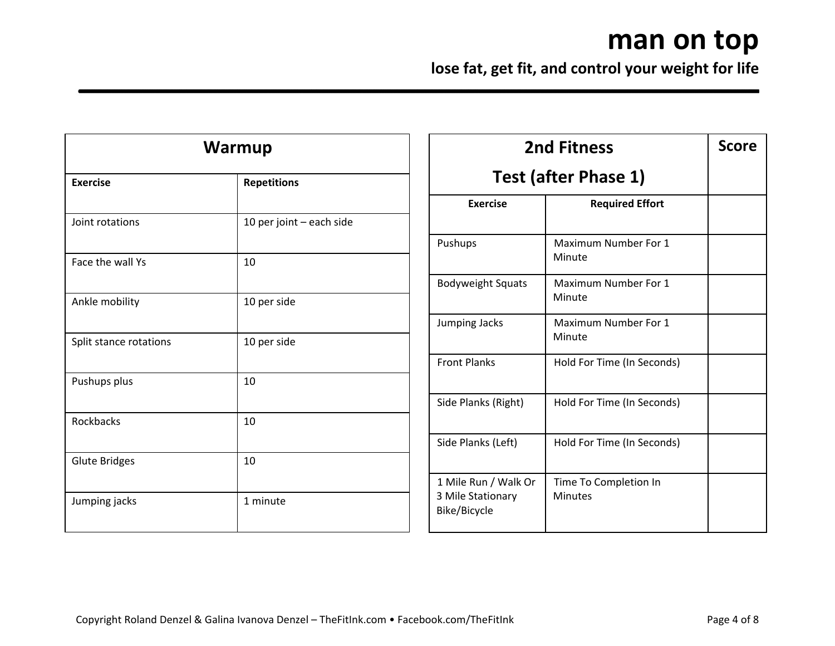| Warmup                 |                          |  |
|------------------------|--------------------------|--|
| <b>Exercise</b>        | <b>Repetitions</b>       |  |
| Joint rotations        | 10 per joint - each side |  |
| Face the wall Ys       | 10                       |  |
| Ankle mobility         | 10 per side              |  |
| Split stance rotations | 10 per side              |  |
| Pushups plus           | 10                       |  |
| Rockbacks              | 10                       |  |
| <b>Glute Bridges</b>   | 10                       |  |
| Jumping jacks          | 1 minute                 |  |

| <b>2nd Fitness</b>                                        |                                         | <b>Score</b> |
|-----------------------------------------------------------|-----------------------------------------|--------------|
|                                                           | Test (after Phase 1)                    |              |
| <b>Exercise</b>                                           | <b>Required Effort</b>                  |              |
| Pushups                                                   | Maximum Number For 1<br>Minute          |              |
| <b>Bodyweight Squats</b>                                  | Maximum Number For 1<br>Minute          |              |
| Jumping Jacks                                             | Maximum Number For 1<br>Minute          |              |
| <b>Front Planks</b>                                       | Hold For Time (In Seconds)              |              |
| Side Planks (Right)                                       | Hold For Time (In Seconds)              |              |
| Side Planks (Left)                                        | Hold For Time (In Seconds)              |              |
| 1 Mile Run / Walk Or<br>3 Mile Stationary<br>Bike/Bicycle | Time To Completion In<br><b>Minutes</b> |              |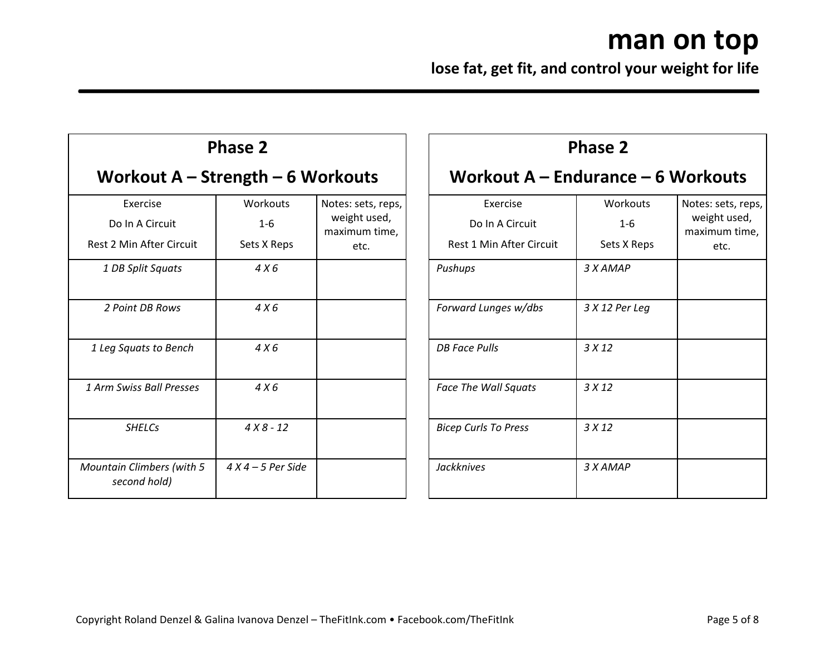|                                                                | <b>Phase 2</b>                     |                                                             |
|----------------------------------------------------------------|------------------------------------|-------------------------------------------------------------|
| Workout $A -$ Strength $-6$ Workouts                           |                                    |                                                             |
| Exercise<br>Do In A Circuit<br><b>Rest 2 Min After Circuit</b> | Workouts<br>$1 - 6$<br>Sets X Reps | Notes: sets, reps,<br>weight used,<br>maximum time,<br>etc. |
| 1 DB Split Squats                                              | 4 X 6                              |                                                             |
| 2 Point DB Rows                                                | 4 X 6                              |                                                             |
| 1 Leg Squats to Bench                                          | 4X6                                |                                                             |
| 1 Arm Swiss Ball Presses                                       | 4X6                                |                                                             |
| <b>SHELCs</b>                                                  | $4X8 - 12$                         |                                                             |
| <b>Mountain Climbers (with 5</b><br>second hold)               | $4 X 4 - 5$ Per Side               |                                                             |

| <b>Phase 2</b>                       |                 |                               |  |
|--------------------------------------|-----------------|-------------------------------|--|
| Workout $A$ – Endurance – 6 Workouts |                 |                               |  |
| <b>Exercise</b>                      | <b>Workouts</b> | Notes: sets, reps,            |  |
| Do In A Circuit                      | $1 - 6$         | weight used,<br>maximum time, |  |
| <b>Rest 1 Min After Circuit</b>      | Sets X Reps     | etc.                          |  |
| Pushups                              | 3 X AMAP        |                               |  |
| Forward Lunges w/dbs                 | 3 X 12 Per Leg  |                               |  |
| <b>DB Face Pulls</b>                 | 3X12            |                               |  |
| <b>Face The Wall Squats</b>          | 3X12            |                               |  |
| <b>Bicep Curls To Press</b>          | 3X12            |                               |  |
| <b>Jackknives</b>                    | 3 X AMAP        |                               |  |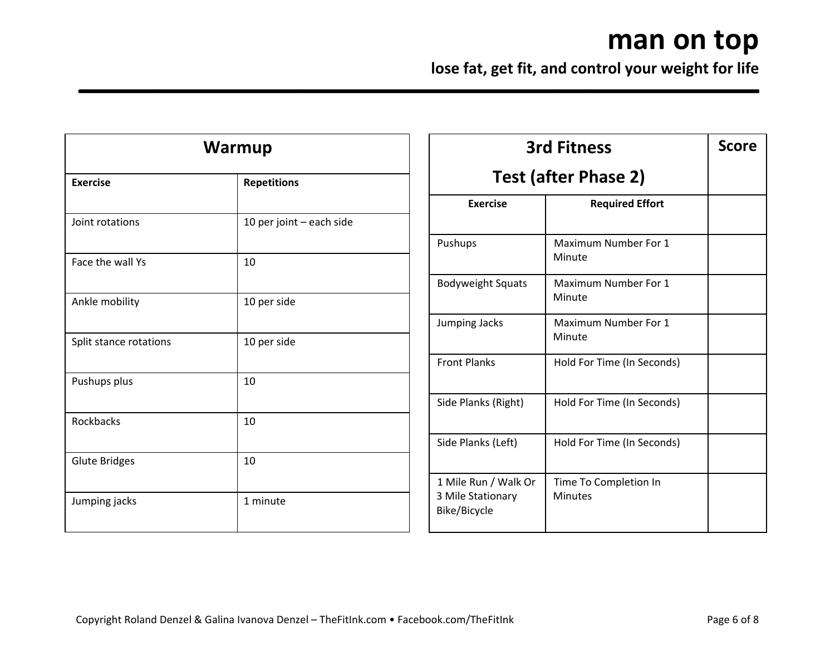| Warmup                 |                          |  |
|------------------------|--------------------------|--|
| <b>Exercise</b>        | <b>Repetitions</b>       |  |
| Joint rotations        | 10 per joint - each side |  |
| Face the wall Ys       | 10                       |  |
| Ankle mobility         | 10 per side              |  |
| Split stance rotations | 10 per side              |  |
| Pushups plus           | 10                       |  |
| Rockbacks              | 10                       |  |
| <b>Glute Bridges</b>   | 10                       |  |
| Jumping jacks          | 1 minute                 |  |

| <b>3rd Fitness</b>                                        |                                         | <b>Score</b> |
|-----------------------------------------------------------|-----------------------------------------|--------------|
|                                                           | <b>Test (after Phase 2)</b>             |              |
| <b>Exercise</b>                                           | <b>Required Effort</b>                  |              |
| Pushups                                                   | Maximum Number For 1<br>Minute          |              |
| <b>Bodyweight Squats</b>                                  | Maximum Number For 1<br>Minute          |              |
| Jumping Jacks                                             | Maximum Number For 1<br>Minute          |              |
| <b>Front Planks</b>                                       | Hold For Time (In Seconds)              |              |
| Side Planks (Right)                                       | Hold For Time (In Seconds)              |              |
| Side Planks (Left)                                        | Hold For Time (In Seconds)              |              |
| 1 Mile Run / Walk Or<br>3 Mile Stationary<br>Bike/Bicycle | Time To Completion In<br><b>Minutes</b> |              |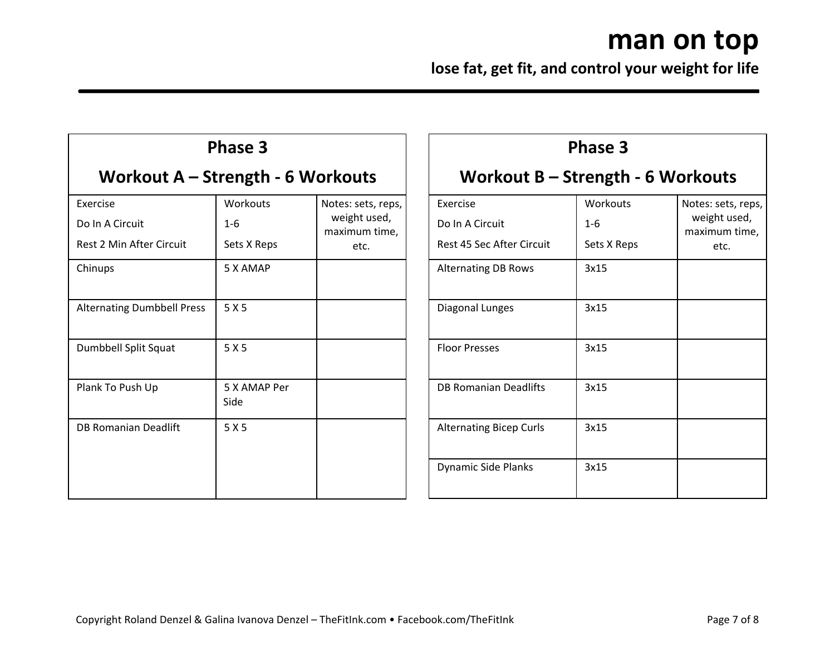| Phase 3                                                        |                                    |                                                             |  |  |  |
|----------------------------------------------------------------|------------------------------------|-------------------------------------------------------------|--|--|--|
| Workout A – Strength - 6 Workouts                              |                                    |                                                             |  |  |  |
| Exercise<br>Do In A Circuit<br><b>Rest 2 Min After Circuit</b> | Workouts<br>$1 - 6$<br>Sets X Reps | Notes: sets, reps,<br>weight used,<br>maximum time,<br>etc. |  |  |  |
| Chinups                                                        | 5 X AMAP                           |                                                             |  |  |  |
| <b>Alternating Dumbbell Press</b>                              | 5 X 5                              |                                                             |  |  |  |
| Dumbbell Split Squat                                           | 5X5                                |                                                             |  |  |  |
| Plank To Push Up                                               | 5 X AMAP Per<br>Side               |                                                             |  |  |  |
| <b>DB Romanian Deadlift</b>                                    | 5 X 5                              |                                                             |  |  |  |
|                                                                |                                    |                                                             |  |  |  |

| Phase 3                           |             |                               |  |  |  |  |
|-----------------------------------|-------------|-------------------------------|--|--|--|--|
| Workout B – Strength - 6 Workouts |             |                               |  |  |  |  |
| <b>Fxercise</b>                   | Workouts    | Notes: sets, reps,            |  |  |  |  |
| Do In A Circuit                   | $1 - 6$     | weight used,<br>maximum time, |  |  |  |  |
| Rest 45 Sec After Circuit         | Sets X Reps | etc.                          |  |  |  |  |
| <b>Alternating DB Rows</b>        | 3x15        |                               |  |  |  |  |
| Diagonal Lunges                   | 3x15        |                               |  |  |  |  |
| <b>Floor Presses</b>              | 3x15        |                               |  |  |  |  |
| DB Romanian Deadlifts             | 3x15        |                               |  |  |  |  |
| <b>Alternating Bicep Curls</b>    | 3x15        |                               |  |  |  |  |
| <b>Dynamic Side Planks</b>        | 3x15        |                               |  |  |  |  |